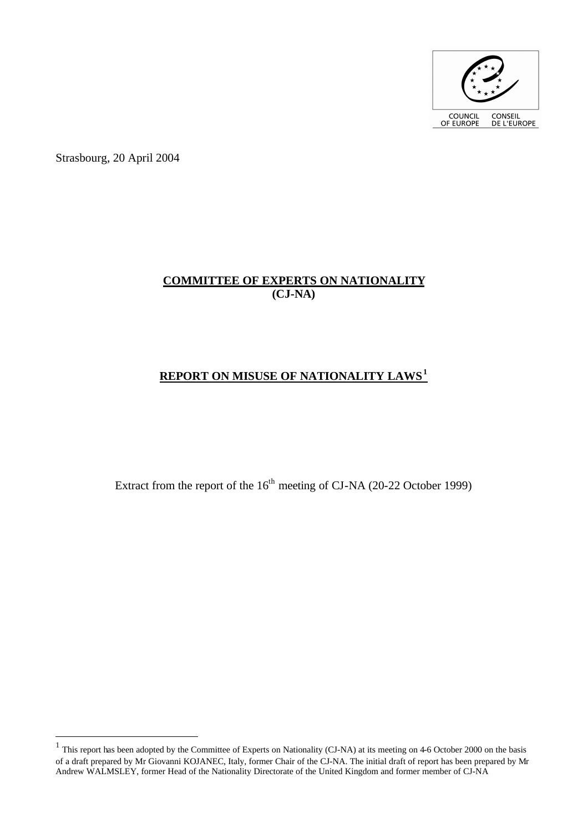

Strasbourg, 20 April 2004

 $\overline{a}$ 

# **COMMITTEE OF EXPERTS ON NATIONALITY (CJ-NA)**

# **REPORT ON MISUSE OF NATIONALITY LAWS<sup>1</sup>**

Extract from the report of the  $16<sup>th</sup>$  meeting of CJ-NA (20-22 October 1999)

<sup>&</sup>lt;sup>1</sup> This report has been adopted by the Committee of Experts on Nationality (CJ-NA) at its meeting on 4-6 October 2000 on the basis of a draft prepared by Mr Giovanni KOJANEC, Italy, former Chair of the CJ-NA. The initial draft of report has been prepared by Mr Andrew WALMSLEY, former Head of the Nationality Directorate of the United Kingdom and former member of CJ-NA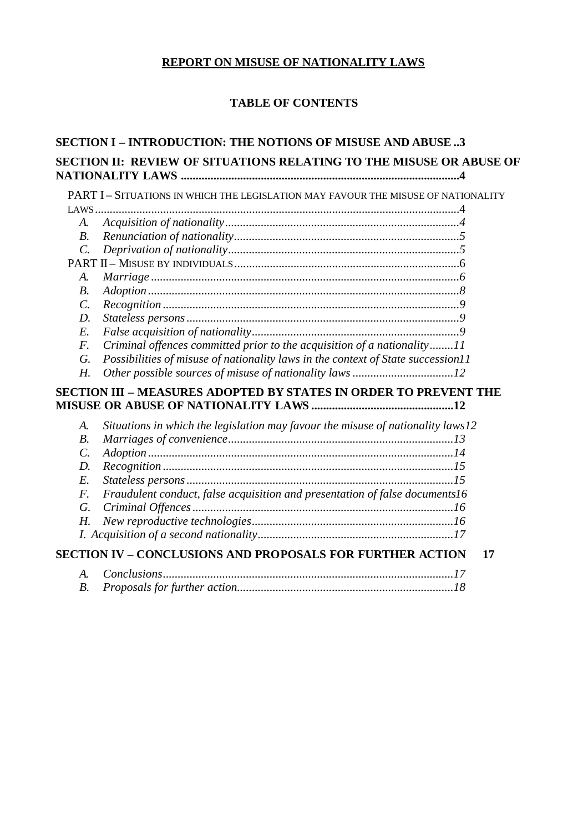# **REPORT ON MISUSE OF NATIONALITY LAWS**

# **TABLE OF CONTENTS**

| <b>SECTION I – INTRODUCTION: THE NOTIONS OF MISUSE AND ABUSE 3</b> |                                                                                   |
|--------------------------------------------------------------------|-----------------------------------------------------------------------------------|
|                                                                    | SECTION II: REVIEW OF SITUATIONS RELATING TO THE MISUSE OR ABUSE OF               |
|                                                                    | PART I - SITUATIONS IN WHICH THE LEGISLATION MAY FAVOUR THE MISUSE OF NATIONALITY |
|                                                                    |                                                                                   |
| A.                                                                 |                                                                                   |
| $B$ .                                                              |                                                                                   |
| $\mathcal{C}$ .                                                    |                                                                                   |
|                                                                    |                                                                                   |
| A.                                                                 |                                                                                   |
| $B$ .                                                              |                                                                                   |
| $\mathcal{C}$ .                                                    |                                                                                   |
| $D$ .                                                              |                                                                                   |
| $E$ .                                                              |                                                                                   |
| $F$ .                                                              | Criminal offences committed prior to the acquisition of a nationality11           |
| G.                                                                 | Possibilities of misuse of nationality laws in the context of State succession11  |
| Н.                                                                 |                                                                                   |
|                                                                    | SECTION III - MEASURES ADOPTED BY STATES IN ORDER TO PREVENT THE                  |
| A.                                                                 | Situations in which the legislation may favour the misuse of nationality laws12   |
| $B$ .                                                              |                                                                                   |
| $\mathcal{C}$ .                                                    |                                                                                   |
| D.                                                                 |                                                                                   |
| $E$ .                                                              |                                                                                   |
| $F_{\cdot}$                                                        | Fraudulent conduct, false acquisition and presentation of false documents16       |
| G.                                                                 |                                                                                   |
| $H_{\cdot}$                                                        |                                                                                   |
|                                                                    |                                                                                   |
|                                                                    | <b>SECTION IV - CONCLUSIONS AND PROPOSALS FOR FURTHER ACTION</b><br>17            |
| A.                                                                 |                                                                                   |
| <i>B</i> .                                                         |                                                                                   |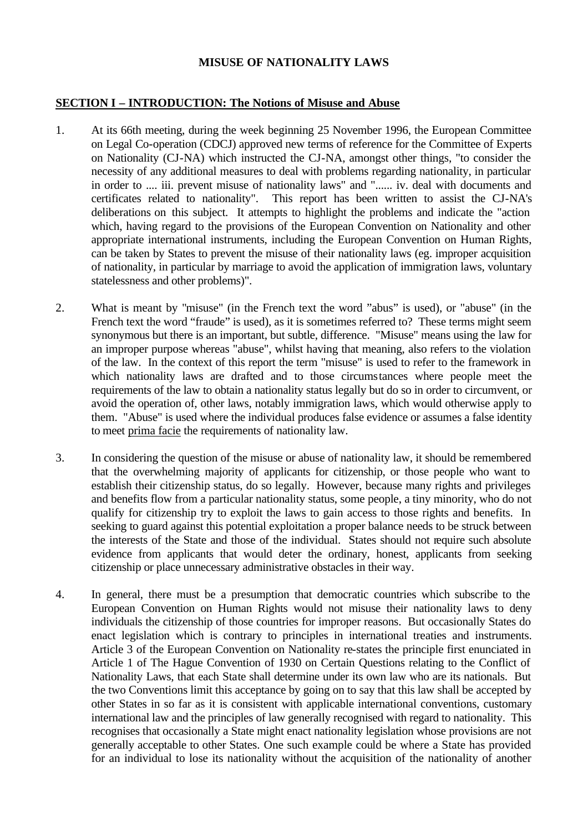#### **MISUSE OF NATIONALITY LAWS**

#### **SECTION I – INTRODUCTION: The Notions of Misuse and Abuse**

- 1. At its 66th meeting, during the week beginning 25 November 1996, the European Committee on Legal Co-operation (CDCJ) approved new terms of reference for the Committee of Experts on Nationality (CJ-NA) which instructed the CJ-NA, amongst other things, "to consider the necessity of any additional measures to deal with problems regarding nationality, in particular in order to .... iii. prevent misuse of nationality laws" and "...... iv. deal with documents and certificates related to nationality". This report has been written to assist the CJ-NA's deliberations on this subject. It attempts to highlight the problems and indicate the "action which, having regard to the provisions of the European Convention on Nationality and other appropriate international instruments, including the European Convention on Human Rights, can be taken by States to prevent the misuse of their nationality laws (eg. improper acquisition of nationality, in particular by marriage to avoid the application of immigration laws, voluntary statelessness and other problems)".
- 2. What is meant by "misuse" (in the French text the word "abus" is used), or "abuse" (in the French text the word "fraude" is used), as it is sometimes referred to? These terms might seem synonymous but there is an important, but subtle, difference. "Misuse" means using the law for an improper purpose whereas "abuse", whilst having that meaning, also refers to the violation of the law. In the context of this report the term "misuse" is used to refer to the framework in which nationality laws are drafted and to those circumstances where people meet the requirements of the law to obtain a nationality status legally but do so in order to circumvent, or avoid the operation of, other laws, notably immigration laws, which would otherwise apply to them. "Abuse" is used where the individual produces false evidence or assumes a false identity to meet prima facie the requirements of nationality law.
- 3. In considering the question of the misuse or abuse of nationality law, it should be remembered that the overwhelming majority of applicants for citizenship, or those people who want to establish their citizenship status, do so legally. However, because many rights and privileges and benefits flow from a particular nationality status, some people, a tiny minority, who do not qualify for citizenship try to exploit the laws to gain access to those rights and benefits. In seeking to guard against this potential exploitation a proper balance needs to be struck between the interests of the State and those of the individual. States should not require such absolute evidence from applicants that would deter the ordinary, honest, applicants from seeking citizenship or place unnecessary administrative obstacles in their way.
- 4. In general, there must be a presumption that democratic countries which subscribe to the European Convention on Human Rights would not misuse their nationality laws to deny individuals the citizenship of those countries for improper reasons. But occasionally States do enact legislation which is contrary to principles in international treaties and instruments. Article 3 of the European Convention on Nationality re-states the principle first enunciated in Article 1 of The Hague Convention of 1930 on Certain Questions relating to the Conflict of Nationality Laws, that each State shall determine under its own law who are its nationals. But the two Conventions limit this acceptance by going on to say that this law shall be accepted by other States in so far as it is consistent with applicable international conventions, customary international law and the principles of law generally recognised with regard to nationality. This recognises that occasionally a State might enact nationality legislation whose provisions are not generally acceptable to other States. One such example could be where a State has provided for an individual to lose its nationality without the acquisition of the nationality of another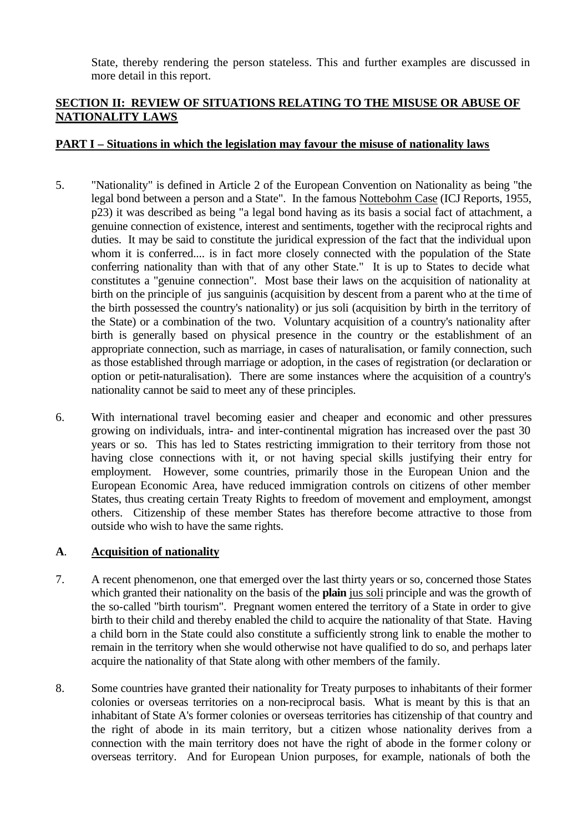State, thereby rendering the person stateless. This and further examples are discussed in more detail in this report.

## **SECTION II: REVIEW OF SITUATIONS RELATING TO THE MISUSE OR ABUSE OF NATIONALITY LAWS**

#### **PART I – Situations in which the legislation may favour the misuse of nationality laws**

- 5. "Nationality" is defined in Article 2 of the European Convention on Nationality as being "the legal bond between a person and a State". In the famous Nottebohm Case (ICJ Reports, 1955, p23) it was described as being "a legal bond having as its basis a social fact of attachment, a genuine connection of existence, interest and sentiments, together with the reciprocal rights and duties. It may be said to constitute the juridical expression of the fact that the individual upon whom it is conferred.... is in fact more closely connected with the population of the State conferring nationality than with that of any other State." It is up to States to decide what constitutes a "genuine connection". Most base their laws on the acquisition of nationality at birth on the principle of jus sanguinis (acquisition by descent from a parent who at the time of the birth possessed the country's nationality) or jus soli (acquisition by birth in the territory of the State) or a combination of the two. Voluntary acquisition of a country's nationality after birth is generally based on physical presence in the country or the establishment of an appropriate connection, such as marriage, in cases of naturalisation, or family connection, such as those established through marriage or adoption, in the cases of registration (or declaration or option or petit-naturalisation). There are some instances where the acquisition of a country's nationality cannot be said to meet any of these principles.
- 6. With international travel becoming easier and cheaper and economic and other pressures growing on individuals, intra- and inter-continental migration has increased over the past 30 years or so. This has led to States restricting immigration to their territory from those not having close connections with it, or not having special skills justifying their entry for employment. However, some countries, primarily those in the European Union and the European Economic Area, have reduced immigration controls on citizens of other member States, thus creating certain Treaty Rights to freedom of movement and employment, amongst others. Citizenship of these member States has therefore become attractive to those from outside who wish to have the same rights.

## **A**. **Acquisition of nationality**

- 7. A recent phenomenon, one that emerged over the last thirty years or so, concerned those States which granted their nationality on the basis of the **plain** jus soli principle and was the growth of the so-called "birth tourism". Pregnant women entered the territory of a State in order to give birth to their child and thereby enabled the child to acquire the nationality of that State. Having a child born in the State could also constitute a sufficiently strong link to enable the mother to remain in the territory when she would otherwise not have qualified to do so, and perhaps later acquire the nationality of that State along with other members of the family.
- 8. Some countries have granted their nationality for Treaty purposes to inhabitants of their former colonies or overseas territories on a non-reciprocal basis. What is meant by this is that an inhabitant of State A's former colonies or overseas territories has citizenship of that country and the right of abode in its main territory, but a citizen whose nationality derives from a connection with the main territory does not have the right of abode in the former colony or overseas territory. And for European Union purposes, for example, nationals of both the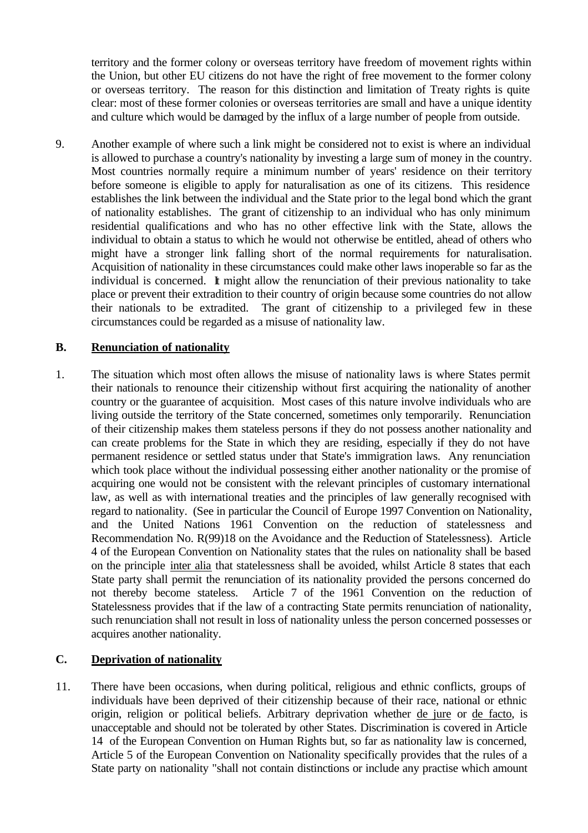territory and the former colony or overseas territory have freedom of movement rights within the Union, but other EU citizens do not have the right of free movement to the former colony or overseas territory. The reason for this distinction and limitation of Treaty rights is quite clear: most of these former colonies or overseas territories are small and have a unique identity and culture which would be damaged by the influx of a large number of people from outside.

9. Another example of where such a link might be considered not to exist is where an individual is allowed to purchase a country's nationality by investing a large sum of money in the country. Most countries normally require a minimum number of years' residence on their territory before someone is eligible to apply for naturalisation as one of its citizens. This residence establishes the link between the individual and the State prior to the legal bond which the grant of nationality establishes. The grant of citizenship to an individual who has only minimum residential qualifications and who has no other effective link with the State, allows the individual to obtain a status to which he would not otherwise be entitled, ahead of others who might have a stronger link falling short of the normal requirements for naturalisation. Acquisition of nationality in these circumstances could make other laws inoperable so far as the individual is concerned. It might allow the renunciation of their previous nationality to take place or prevent their extradition to their country of origin because some countries do not allow their nationals to be extradited. The grant of citizenship to a privileged few in these circumstances could be regarded as a misuse of nationality law.

#### **B. Renunciation of nationality**

1. The situation which most often allows the misuse of nationality laws is where States permit their nationals to renounce their citizenship without first acquiring the nationality of another country or the guarantee of acquisition. Most cases of this nature involve individuals who are living outside the territory of the State concerned, sometimes only temporarily. Renunciation of their citizenship makes them stateless persons if they do not possess another nationality and can create problems for the State in which they are residing, especially if they do not have permanent residence or settled status under that State's immigration laws. Any renunciation which took place without the individual possessing either another nationality or the promise of acquiring one would not be consistent with the relevant principles of customary international law, as well as with international treaties and the principles of law generally recognised with regard to nationality. (See in particular the Council of Europe 1997 Convention on Nationality, and the United Nations 1961 Convention on the reduction of statelessness and Recommendation No. R(99)18 on the Avoidance and the Reduction of Statelessness). Article 4 of the European Convention on Nationality states that the rules on nationality shall be based on the principle inter alia that statelessness shall be avoided, whilst Article 8 states that each State party shall permit the renunciation of its nationality provided the persons concerned do not thereby become stateless. Article 7 of the 1961 Convention on the reduction of Statelessness provides that if the law of a contracting State permits renunciation of nationality, such renunciation shall not result in loss of nationality unless the person concerned possesses or acquires another nationality.

## **C. Deprivation of nationality**

11. There have been occasions, when during political, religious and ethnic conflicts, groups of individuals have been deprived of their citizenship because of their race, national or ethnic origin, religion or political beliefs. Arbitrary deprivation whether de jure or de facto, is unacceptable and should not be tolerated by other States. Discrimination is covered in Article 14 of the European Convention on Human Rights but, so far as nationality law is concerned, Article 5 of the European Convention on Nationality specifically provides that the rules of a State party on nationality "shall not contain distinctions or include any practise which amount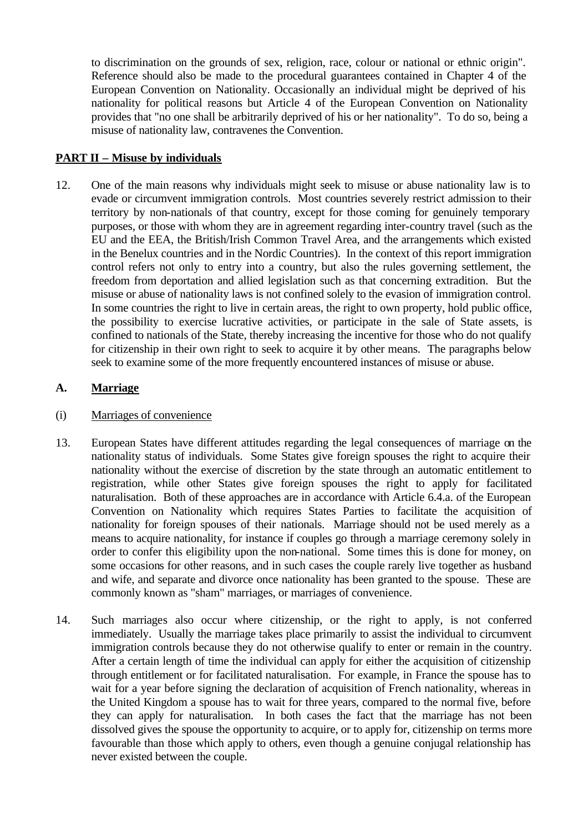to discrimination on the grounds of sex, religion, race, colour or national or ethnic origin". Reference should also be made to the procedural guarantees contained in Chapter 4 of the European Convention on Nationality. Occasionally an individual might be deprived of his nationality for political reasons but Article 4 of the European Convention on Nationality provides that "no one shall be arbitrarily deprived of his or her nationality". To do so, being a misuse of nationality law, contravenes the Convention.

## **PART II – Misuse by individuals**

12. One of the main reasons why individuals might seek to misuse or abuse nationality law is to evade or circumvent immigration controls. Most countries severely restrict admission to their territory by non-nationals of that country, except for those coming for genuinely temporary purposes, or those with whom they are in agreement regarding inter-country travel (such as the EU and the EEA, the British/Irish Common Travel Area, and the arrangements which existed in the Benelux countries and in the Nordic Countries). In the context of this report immigration control refers not only to entry into a country, but also the rules governing settlement, the freedom from deportation and allied legislation such as that concerning extradition. But the misuse or abuse of nationality laws is not confined solely to the evasion of immigration control. In some countries the right to live in certain areas, the right to own property, hold public office, the possibility to exercise lucrative activities, or participate in the sale of State assets, is confined to nationals of the State, thereby increasing the incentive for those who do not qualify for citizenship in their own right to seek to acquire it by other means. The paragraphs below seek to examine some of the more frequently encountered instances of misuse or abuse.

#### **A. Marriage**

#### (i) Marriages of convenience

- 13. European States have different attitudes regarding the legal consequences of marriage on the nationality status of individuals. Some States give foreign spouses the right to acquire their nationality without the exercise of discretion by the state through an automatic entitlement to registration, while other States give foreign spouses the right to apply for facilitated naturalisation. Both of these approaches are in accordance with Article 6.4.a. of the European Convention on Nationality which requires States Parties to facilitate the acquisition of nationality for foreign spouses of their nationals. Marriage should not be used merely as a means to acquire nationality, for instance if couples go through a marriage ceremony solely in order to confer this eligibility upon the non-national. Some times this is done for money, on some occasions for other reasons, and in such cases the couple rarely live together as husband and wife, and separate and divorce once nationality has been granted to the spouse. These are commonly known as "sham" marriages, or marriages of convenience.
- 14. Such marriages also occur where citizenship, or the right to apply, is not conferred immediately. Usually the marriage takes place primarily to assist the individual to circumvent immigration controls because they do not otherwise qualify to enter or remain in the country. After a certain length of time the individual can apply for either the acquisition of citizenship through entitlement or for facilitated naturalisation. For example, in France the spouse has to wait for a year before signing the declaration of acquisition of French nationality, whereas in the United Kingdom a spouse has to wait for three years, compared to the normal five, before they can apply for naturalisation. In both cases the fact that the marriage has not been dissolved gives the spouse the opportunity to acquire, or to apply for, citizenship on terms more favourable than those which apply to others, even though a genuine conjugal relationship has never existed between the couple.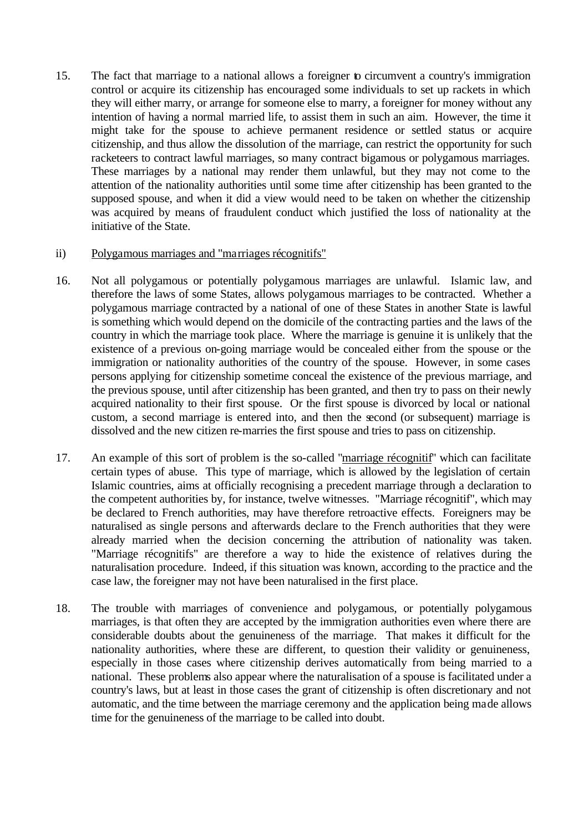15. The fact that marriage to a national allows a foreigner to circumvent a country's immigration control or acquire its citizenship has encouraged some individuals to set up rackets in which they will either marry, or arrange for someone else to marry, a foreigner for money without any intention of having a normal married life, to assist them in such an aim. However, the time it might take for the spouse to achieve permanent residence or settled status or acquire citizenship, and thus allow the dissolution of the marriage, can restrict the opportunity for such racketeers to contract lawful marriages, so many contract bigamous or polygamous marriages. These marriages by a national may render them unlawful, but they may not come to the attention of the nationality authorities until some time after citizenship has been granted to the supposed spouse, and when it did a view would need to be taken on whether the citizenship was acquired by means of fraudulent conduct which justified the loss of nationality at the initiative of the State.

#### ii) Polygamous marriages and "marriages récognitifs"

- 16. Not all polygamous or potentially polygamous marriages are unlawful. Islamic law, and therefore the laws of some States, allows polygamous marriages to be contracted. Whether a polygamous marriage contracted by a national of one of these States in another State is lawful is something which would depend on the domicile of the contracting parties and the laws of the country in which the marriage took place. Where the marriage is genuine it is unlikely that the existence of a previous on-going marriage would be concealed either from the spouse or the immigration or nationality authorities of the country of the spouse. However, in some cases persons applying for citizenship sometime conceal the existence of the previous marriage, and the previous spouse, until after citizenship has been granted, and then try to pass on their newly acquired nationality to their first spouse. Or the first spouse is divorced by local or national custom, a second marriage is entered into, and then the second (or subsequent) marriage is dissolved and the new citizen re-marries the first spouse and tries to pass on citizenship.
- 17. An example of this sort of problem is the so-called "marriage récognitif" which can facilitate certain types of abuse. This type of marriage, which is allowed by the legislation of certain Islamic countries, aims at officially recognising a precedent marriage through a declaration to the competent authorities by, for instance, twelve witnesses. "Marriage récognitif", which may be declared to French authorities, may have therefore retroactive effects. Foreigners may be naturalised as single persons and afterwards declare to the French authorities that they were already married when the decision concerning the attribution of nationality was taken. "Marriage récognitifs" are therefore a way to hide the existence of relatives during the naturalisation procedure. Indeed, if this situation was known, according to the practice and the case law, the foreigner may not have been naturalised in the first place.
- 18. The trouble with marriages of convenience and polygamous, or potentially polygamous marriages, is that often they are accepted by the immigration authorities even where there are considerable doubts about the genuineness of the marriage. That makes it difficult for the nationality authorities, where these are different, to question their validity or genuineness, especially in those cases where citizenship derives automatically from being married to a national. These problems also appear where the naturalisation of a spouse is facilitated under a country's laws, but at least in those cases the grant of citizenship is often discretionary and not automatic, and the time between the marriage ceremony and the application being made allows time for the genuineness of the marriage to be called into doubt.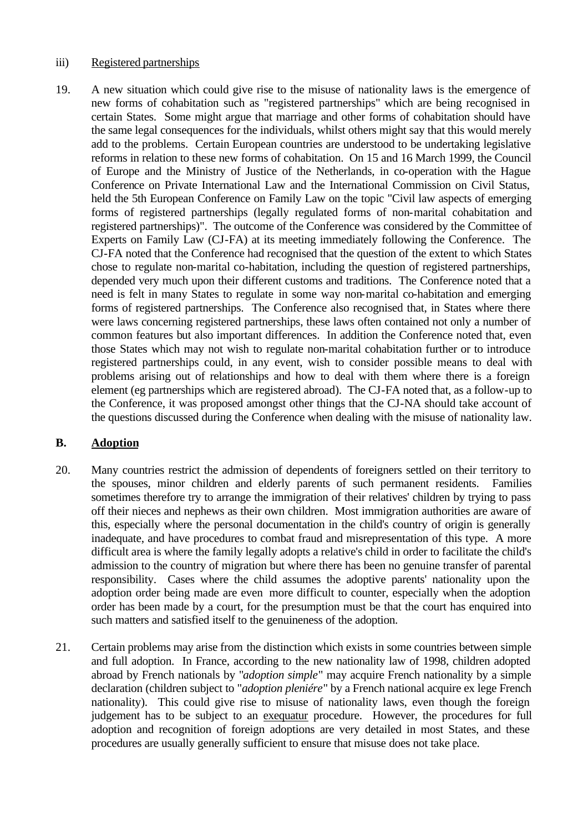#### iii) Registered partnerships

19. A new situation which could give rise to the misuse of nationality laws is the emergence of new forms of cohabitation such as "registered partnerships" which are being recognised in certain States. Some might argue that marriage and other forms of cohabitation should have the same legal consequences for the individuals, whilst others might say that this would merely add to the problems. Certain European countries are understood to be undertaking legislative reforms in relation to these new forms of cohabitation. On 15 and 16 March 1999, the Council of Europe and the Ministry of Justice of the Netherlands, in co-operation with the Hague Conference on Private International Law and the International Commission on Civil Status, held the 5th European Conference on Family Law on the topic "Civil law aspects of emerging forms of registered partnerships (legally regulated forms of non-marital cohabitation and registered partnerships)". The outcome of the Conference was considered by the Committee of Experts on Family Law (CJ-FA) at its meeting immediately following the Conference. The CJ-FA noted that the Conference had recognised that the question of the extent to which States chose to regulate non-marital co-habitation, including the question of registered partnerships, depended very much upon their different customs and traditions. The Conference noted that a need is felt in many States to regulate in some way non-marital co-habitation and emerging forms of registered partnerships. The Conference also recognised that, in States where there were laws concerning registered partnerships, these laws often contained not only a number of common features but also important differences. In addition the Conference noted that, even those States which may not wish to regulate non-marital cohabitation further or to introduce registered partnerships could, in any event, wish to consider possible means to deal with problems arising out of relationships and how to deal with them where there is a foreign element (eg partnerships which are registered abroad). The CJ-FA noted that, as a follow-up to the Conference, it was proposed amongst other things that the CJ-NA should take account of the questions discussed during the Conference when dealing with the misuse of nationality law.

#### **B. Adoption**

- 20. Many countries restrict the admission of dependents of foreigners settled on their territory to the spouses, minor children and elderly parents of such permanent residents. Families sometimes therefore try to arrange the immigration of their relatives' children by trying to pass off their nieces and nephews as their own children. Most immigration authorities are aware of this, especially where the personal documentation in the child's country of origin is generally inadequate, and have procedures to combat fraud and misrepresentation of this type. A more difficult area is where the family legally adopts a relative's child in order to facilitate the child's admission to the country of migration but where there has been no genuine transfer of parental responsibility. Cases where the child assumes the adoptive parents' nationality upon the adoption order being made are even more difficult to counter, especially when the adoption order has been made by a court, for the presumption must be that the court has enquired into such matters and satisfied itself to the genuineness of the adoption.
- 21. Certain problems may arise from the distinction which exists in some countries between simple and full adoption. In France, according to the new nationality law of 1998, children adopted abroad by French nationals by "*adoption simple*" may acquire French nationality by a simple declaration (children subject to "*adoption pleniére*" by a French national acquire ex lege French nationality). This could give rise to misuse of nationality laws, even though the foreign judgement has to be subject to an exequatur procedure. However, the procedures for full adoption and recognition of foreign adoptions are very detailed in most States, and these procedures are usually generally sufficient to ensure that misuse does not take place.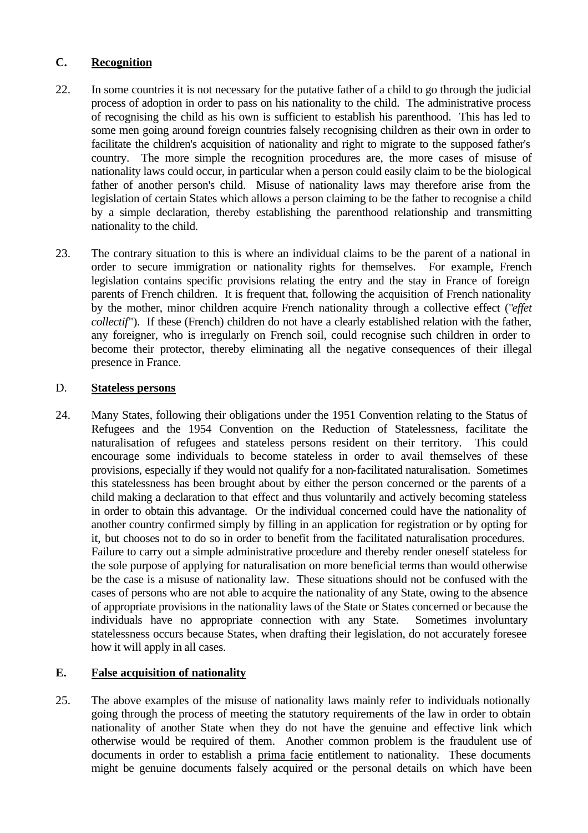## **C. Recognition**

- 22. In some countries it is not necessary for the putative father of a child to go through the judicial process of adoption in order to pass on his nationality to the child. The administrative process of recognising the child as his own is sufficient to establish his parenthood. This has led to some men going around foreign countries falsely recognising children as their own in order to facilitate the children's acquisition of nationality and right to migrate to the supposed father's country. The more simple the recognition procedures are, the more cases of misuse of nationality laws could occur, in particular when a person could easily claim to be the biological father of another person's child. Misuse of nationality laws may therefore arise from the legislation of certain States which allows a person claiming to be the father to recognise a child by a simple declaration, thereby establishing the parenthood relationship and transmitting nationality to the child.
- 23. The contrary situation to this is where an individual claims to be the parent of a national in order to secure immigration or nationality rights for themselves. For example, French legislation contains specific provisions relating the entry and the stay in France of foreign parents of French children. It is frequent that, following the acquisition of French nationality by the mother, minor children acquire French nationality through a collective effect ("*effet collectif*"). If these (French) children do not have a clearly established relation with the father, any foreigner, who is irregularly on French soil, could recognise such children in order to become their protector, thereby eliminating all the negative consequences of their illegal presence in France.

## D. **Stateless persons**

24. Many States, following their obligations under the 1951 Convention relating to the Status of Refugees and the 1954 Convention on the Reduction of Statelessness, facilitate the naturalisation of refugees and stateless persons resident on their territory. This could encourage some individuals to become stateless in order to avail themselves of these provisions, especially if they would not qualify for a non-facilitated naturalisation. Sometimes this statelessness has been brought about by either the person concerned or the parents of a child making a declaration to that effect and thus voluntarily and actively becoming stateless in order to obtain this advantage. Or the individual concerned could have the nationality of another country confirmed simply by filling in an application for registration or by opting for it, but chooses not to do so in order to benefit from the facilitated naturalisation procedures. Failure to carry out a simple administrative procedure and thereby render oneself stateless for the sole purpose of applying for naturalisation on more beneficial terms than would otherwise be the case is a misuse of nationality law. These situations should not be confused with the cases of persons who are not able to acquire the nationality of any State, owing to the absence of appropriate provisions in the nationality laws of the State or States concerned or because the individuals have no appropriate connection with any State. Sometimes involuntary statelessness occurs because States, when drafting their legislation, do not accurately foresee how it will apply in all cases.

## **E. False acquisition of nationality**

25. The above examples of the misuse of nationality laws mainly refer to individuals notionally going through the process of meeting the statutory requirements of the law in order to obtain nationality of another State when they do not have the genuine and effective link which otherwise would be required of them. Another common problem is the fraudulent use of documents in order to establish a prima facie entitlement to nationality. These documents might be genuine documents falsely acquired or the personal details on which have been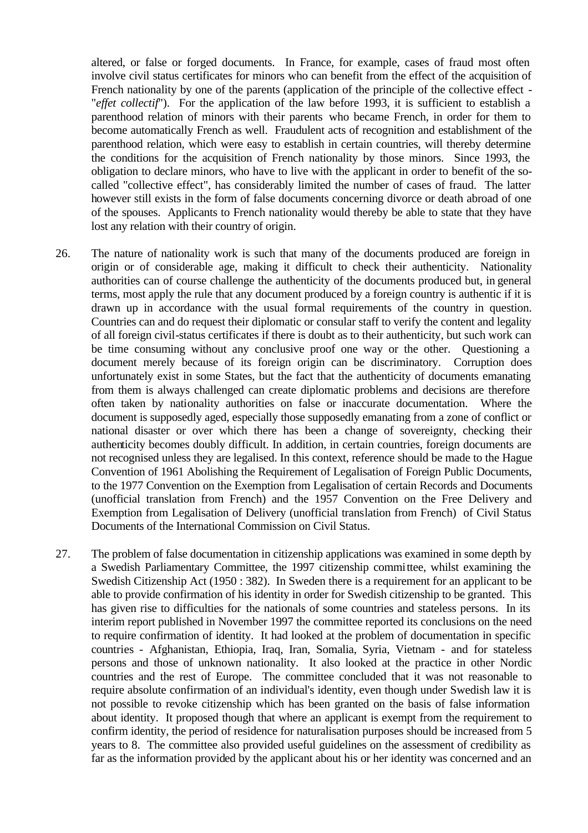altered, or false or forged documents. In France, for example, cases of fraud most often involve civil status certificates for minors who can benefit from the effect of the acquisition of French nationality by one of the parents (application of the principle of the collective effect - "*effet collectif*"). For the application of the law before 1993, it is sufficient to establish a parenthood relation of minors with their parents who became French, in order for them to become automatically French as well. Fraudulent acts of recognition and establishment of the parenthood relation, which were easy to establish in certain countries, will thereby determine the conditions for the acquisition of French nationality by those minors. Since 1993, the obligation to declare minors, who have to live with the applicant in order to benefit of the socalled "collective effect", has considerably limited the number of cases of fraud. The latter however still exists in the form of false documents concerning divorce or death abroad of one of the spouses. Applicants to French nationality would thereby be able to state that they have lost any relation with their country of origin.

- 26. The nature of nationality work is such that many of the documents produced are foreign in origin or of considerable age, making it difficult to check their authenticity. Nationality authorities can of course challenge the authenticity of the documents produced but, in general terms, most apply the rule that any document produced by a foreign country is authentic if it is drawn up in accordance with the usual formal requirements of the country in question. Countries can and do request their diplomatic or consular staff to verify the content and legality of all foreign civil-status certificates if there is doubt as to their authenticity, but such work can be time consuming without any conclusive proof one way or the other. Questioning a document merely because of its foreign origin can be discriminatory. Corruption does unfortunately exist in some States, but the fact that the authenticity of documents emanating from them is always challenged can create diplomatic problems and decisions are therefore often taken by nationality authorities on false or inaccurate documentation. Where the document is supposedly aged, especially those supposedly emanating from a zone of conflict or national disaster or over which there has been a change of sovereignty, checking their authenticity becomes doubly difficult. In addition, in certain countries, foreign documents are not recognised unless they are legalised. In this context, reference should be made to the Hague Convention of 1961 Abolishing the Requirement of Legalisation of Foreign Public Documents, to the 1977 Convention on the Exemption from Legalisation of certain Records and Documents (unofficial translation from French) and the 1957 Convention on the Free Delivery and Exemption from Legalisation of Delivery (unofficial translation from French) of Civil Status Documents of the International Commission on Civil Status.
- 27. The problem of false documentation in citizenship applications was examined in some depth by a Swedish Parliamentary Committee, the 1997 citizenship committee, whilst examining the Swedish Citizenship Act (1950 : 382). In Sweden there is a requirement for an applicant to be able to provide confirmation of his identity in order for Swedish citizenship to be granted. This has given rise to difficulties for the nationals of some countries and stateless persons. In its interim report published in November 1997 the committee reported its conclusions on the need to require confirmation of identity. It had looked at the problem of documentation in specific countries - Afghanistan, Ethiopia, Iraq, Iran, Somalia, Syria, Vietnam - and for stateless persons and those of unknown nationality. It also looked at the practice in other Nordic countries and the rest of Europe. The committee concluded that it was not reasonable to require absolute confirmation of an individual's identity, even though under Swedish law it is not possible to revoke citizenship which has been granted on the basis of false information about identity. It proposed though that where an applicant is exempt from the requirement to confirm identity, the period of residence for naturalisation purposes should be increased from 5 years to 8. The committee also provided useful guidelines on the assessment of credibility as far as the information provided by the applicant about his or her identity was concerned and an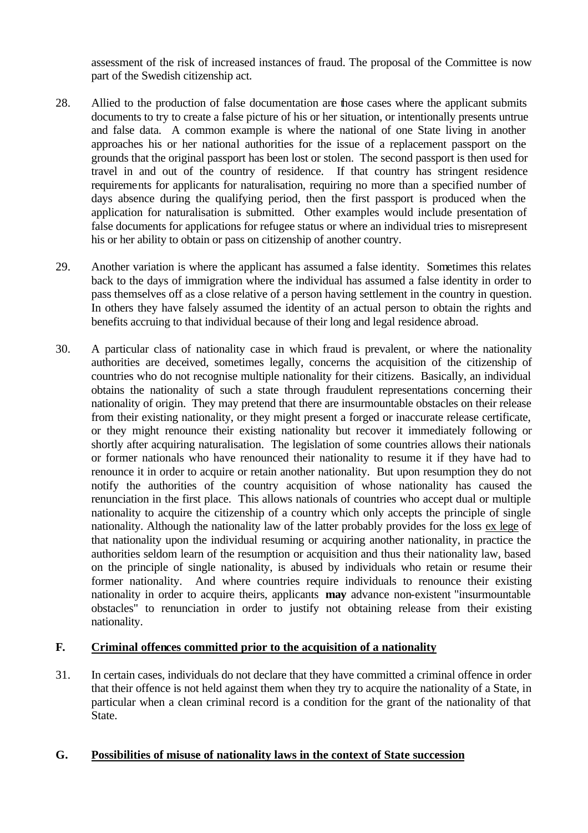assessment of the risk of increased instances of fraud. The proposal of the Committee is now part of the Swedish citizenship act.

- 28. Allied to the production of false documentation are those cases where the applicant submits documents to try to create a false picture of his or her situation, or intentionally presents untrue and false data. A common example is where the national of one State living in another approaches his or her national authorities for the issue of a replacement passport on the grounds that the original passport has been lost or stolen. The second passport is then used for travel in and out of the country of residence. If that country has stringent residence requirements for applicants for naturalisation, requiring no more than a specified number of days absence during the qualifying period, then the first passport is produced when the application for naturalisation is submitted. Other examples would include presentation of false documents for applications for refugee status or where an individual tries to misrepresent his or her ability to obtain or pass on citizenship of another country.
- 29. Another variation is where the applicant has assumed a false identity. Sometimes this relates back to the days of immigration where the individual has assumed a false identity in order to pass themselves off as a close relative of a person having settlement in the country in question. In others they have falsely assumed the identity of an actual person to obtain the rights and benefits accruing to that individual because of their long and legal residence abroad.
- 30. A particular class of nationality case in which fraud is prevalent, or where the nationality authorities are deceived, sometimes legally, concerns the acquisition of the citizenship of countries who do not recognise multiple nationality for their citizens. Basically, an individual obtains the nationality of such a state through fraudulent representations concerning their nationality of origin. They may pretend that there are insurmountable obstacles on their release from their existing nationality, or they might present a forged or inaccurate release certificate, or they might renounce their existing nationality but recover it immediately following or shortly after acquiring naturalisation. The legislation of some countries allows their nationals or former nationals who have renounced their nationality to resume it if they have had to renounce it in order to acquire or retain another nationality. But upon resumption they do not notify the authorities of the country acquisition of whose nationality has caused the renunciation in the first place. This allows nationals of countries who accept dual or multiple nationality to acquire the citizenship of a country which only accepts the principle of single nationality. Although the nationality law of the latter probably provides for the loss ex lege of that nationality upon the individual resuming or acquiring another nationality, in practice the authorities seldom learn of the resumption or acquisition and thus their nationality law, based on the principle of single nationality, is abused by individuals who retain or resume their former nationality. And where countries require individuals to renounce their existing nationality in order to acquire theirs, applicants **may** advance non-existent "insurmountable obstacles" to renunciation in order to justify not obtaining release from their existing nationality.

## **F. Criminal offences committed prior to the acquisition of a nationality**

31. In certain cases, individuals do not declare that they have committed a criminal offence in order that their offence is not held against them when they try to acquire the nationality of a State, in particular when a clean criminal record is a condition for the grant of the nationality of that State.

## **G. Possibilities of misuse of nationality laws in the context of State succession**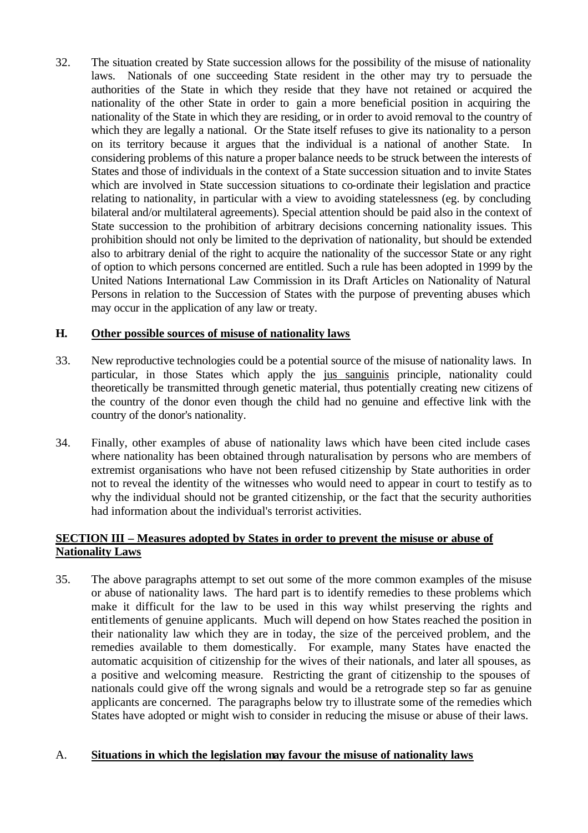32. The situation created by State succession allows for the possibility of the misuse of nationality laws. Nationals of one succeeding State resident in the other may try to persuade the authorities of the State in which they reside that they have not retained or acquired the nationality of the other State in order to gain a more beneficial position in acquiring the nationality of the State in which they are residing, or in order to avoid removal to the country of which they are legally a national. Or the State itself refuses to give its nationality to a person on its territory because it argues that the individual is a national of another State. In considering problems of this nature a proper balance needs to be struck between the interests of States and those of individuals in the context of a State succession situation and to invite States which are involved in State succession situations to co-ordinate their legislation and practice relating to nationality, in particular with a view to avoiding statelessness (eg. by concluding bilateral and/or multilateral agreements). Special attention should be paid also in the context of State succession to the prohibition of arbitrary decisions concerning nationality issues. This prohibition should not only be limited to the deprivation of nationality, but should be extended also to arbitrary denial of the right to acquire the nationality of the successor State or any right of option to which persons concerned are entitled. Such a rule has been adopted in 1999 by the United Nations International Law Commission in its Draft Articles on Nationality of Natural Persons in relation to the Succession of States with the purpose of preventing abuses which may occur in the application of any law or treaty.

## **H. Other possible sources of misuse of nationality laws**

- 33. New reproductive technologies could be a potential source of the misuse of nationality laws. In particular, in those States which apply the jus sanguinis principle, nationality could theoretically be transmitted through genetic material, thus potentially creating new citizens of the country of the donor even though the child had no genuine and effective link with the country of the donor's nationality.
- 34. Finally, other examples of abuse of nationality laws which have been cited include cases where nationality has been obtained through naturalisation by persons who are members of extremist organisations who have not been refused citizenship by State authorities in order not to reveal the identity of the witnesses who would need to appear in court to testify as to why the individual should not be granted citizenship, or the fact that the security authorities had information about the individual's terrorist activities.

## **SECTION III – Measures adopted by States in order to prevent the misuse or abuse of Nationality Laws**

35. The above paragraphs attempt to set out some of the more common examples of the misuse or abuse of nationality laws. The hard part is to identify remedies to these problems which make it difficult for the law to be used in this way whilst preserving the rights and entitlements of genuine applicants. Much will depend on how States reached the position in their nationality law which they are in today, the size of the perceived problem, and the remedies available to them domestically. For example, many States have enacted the automatic acquisition of citizenship for the wives of their nationals, and later all spouses, as a positive and welcoming measure. Restricting the grant of citizenship to the spouses of nationals could give off the wrong signals and would be a retrograde step so far as genuine applicants are concerned. The paragraphs below try to illustrate some of the remedies which States have adopted or might wish to consider in reducing the misuse or abuse of their laws.

## A. **Situations in which the legislation may favour the misuse of nationality laws**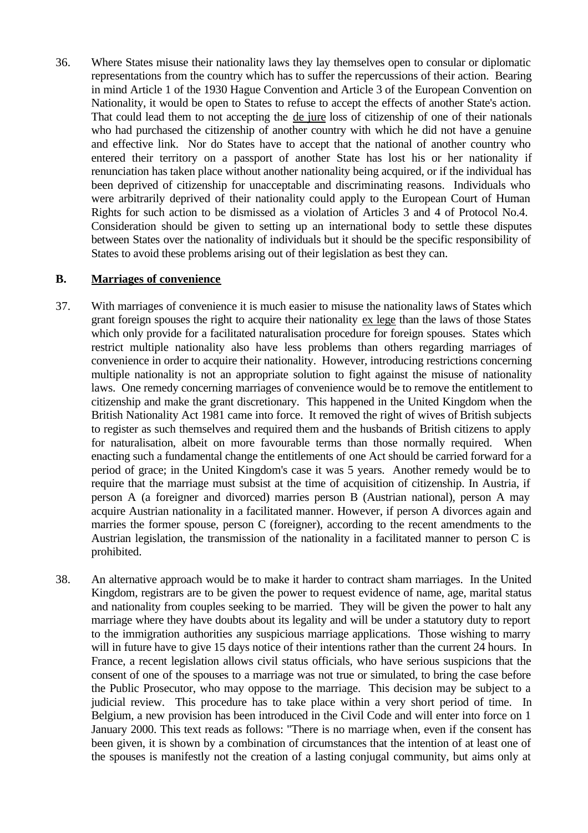36. Where States misuse their nationality laws they lay themselves open to consular or diplomatic representations from the country which has to suffer the repercussions of their action. Bearing in mind Article 1 of the 1930 Hague Convention and Article 3 of the European Convention on Nationality, it would be open to States to refuse to accept the effects of another State's action. That could lead them to not accepting the de jure loss of citizenship of one of their nationals who had purchased the citizenship of another country with which he did not have a genuine and effective link. Nor do States have to accept that the national of another country who entered their territory on a passport of another State has lost his or her nationality if renunciation has taken place without another nationality being acquired, or if the individual has been deprived of citizenship for unacceptable and discriminating reasons. Individuals who were arbitrarily deprived of their nationality could apply to the European Court of Human Rights for such action to be dismissed as a violation of Articles 3 and 4 of Protocol No.4. Consideration should be given to setting up an international body to settle these disputes between States over the nationality of individuals but it should be the specific responsibility of States to avoid these problems arising out of their legislation as best they can.

#### **B. Marriages of convenience**

- 37. With marriages of convenience it is much easier to misuse the nationality laws of States which grant foreign spouses the right to acquire their nationality ex lege than the laws of those States which only provide for a facilitated naturalisation procedure for foreign spouses. States which restrict multiple nationality also have less problems than others regarding marriages of convenience in order to acquire their nationality. However, introducing restrictions concerning multiple nationality is not an appropriate solution to fight against the misuse of nationality laws. One remedy concerning marriages of convenience would be to remove the entitlement to citizenship and make the grant discretionary. This happened in the United Kingdom when the British Nationality Act 1981 came into force. It removed the right of wives of British subjects to register as such themselves and required them and the husbands of British citizens to apply for naturalisation, albeit on more favourable terms than those normally required. When enacting such a fundamental change the entitlements of one Act should be carried forward for a period of grace; in the United Kingdom's case it was 5 years. Another remedy would be to require that the marriage must subsist at the time of acquisition of citizenship. In Austria, if person A (a foreigner and divorced) marries person B (Austrian national), person A may acquire Austrian nationality in a facilitated manner. However, if person A divorces again and marries the former spouse, person C (foreigner), according to the recent amendments to the Austrian legislation, the transmission of the nationality in a facilitated manner to person C is prohibited.
- 38. An alternative approach would be to make it harder to contract sham marriages. In the United Kingdom, registrars are to be given the power to request evidence of name, age, marital status and nationality from couples seeking to be married. They will be given the power to halt any marriage where they have doubts about its legality and will be under a statutory duty to report to the immigration authorities any suspicious marriage applications. Those wishing to marry will in future have to give 15 days notice of their intentions rather than the current 24 hours. In France, a recent legislation allows civil status officials, who have serious suspicions that the consent of one of the spouses to a marriage was not true or simulated, to bring the case before the Public Prosecutor, who may oppose to the marriage. This decision may be subject to a judicial review. This procedure has to take place within a very short period of time. In Belgium, a new provision has been introduced in the Civil Code and will enter into force on 1 January 2000. This text reads as follows: "There is no marriage when, even if the consent has been given, it is shown by a combination of circumstances that the intention of at least one of the spouses is manifestly not the creation of a lasting conjugal community, but aims only at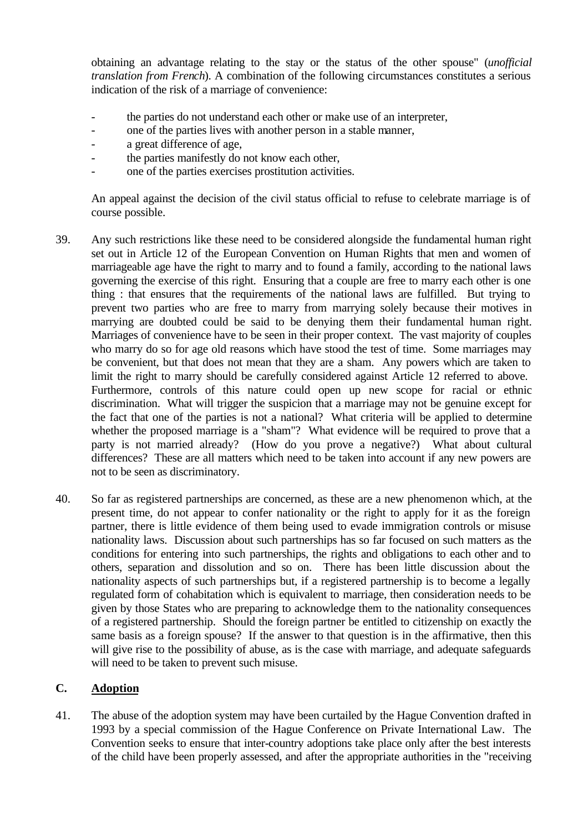obtaining an advantage relating to the stay or the status of the other spouse" (*unofficial translation from French*). A combination of the following circumstances constitutes a serious indication of the risk of a marriage of convenience:

- the parties do not understand each other or make use of an interpreter,
- one of the parties lives with another person in a stable manner,
- a great difference of age,
- the parties manifestly do not know each other.
- one of the parties exercises prostitution activities.

An appeal against the decision of the civil status official to refuse to celebrate marriage is of course possible.

- 39. Any such restrictions like these need to be considered alongside the fundamental human right set out in Article 12 of the European Convention on Human Rights that men and women of marriageable age have the right to marry and to found a family, according to the national laws governing the exercise of this right. Ensuring that a couple are free to marry each other is one thing : that ensures that the requirements of the national laws are fulfilled. But trying to prevent two parties who are free to marry from marrying solely because their motives in marrying are doubted could be said to be denying them their fundamental human right. Marriages of convenience have to be seen in their proper context. The vast majority of couples who marry do so for age old reasons which have stood the test of time. Some marriages may be convenient, but that does not mean that they are a sham. Any powers which are taken to limit the right to marry should be carefully considered against Article 12 referred to above. Furthermore, controls of this nature could open up new scope for racial or ethnic discrimination. What will trigger the suspicion that a marriage may not be genuine except for the fact that one of the parties is not a national? What criteria will be applied to determine whether the proposed marriage is a "sham"? What evidence will be required to prove that a party is not married already? (How do you prove a negative?) What about cultural differences? These are all matters which need to be taken into account if any new powers are not to be seen as discriminatory.
- 40. So far as registered partnerships are concerned, as these are a new phenomenon which, at the present time, do not appear to confer nationality or the right to apply for it as the foreign partner, there is little evidence of them being used to evade immigration controls or misuse nationality laws. Discussion about such partnerships has so far focused on such matters as the conditions for entering into such partnerships, the rights and obligations to each other and to others, separation and dissolution and so on. There has been little discussion about the nationality aspects of such partnerships but, if a registered partnership is to become a legally regulated form of cohabitation which is equivalent to marriage, then consideration needs to be given by those States who are preparing to acknowledge them to the nationality consequences of a registered partnership. Should the foreign partner be entitled to citizenship on exactly the same basis as a foreign spouse? If the answer to that question is in the affirmative, then this will give rise to the possibility of abuse, as is the case with marriage, and adequate safeguards will need to be taken to prevent such misuse.

## **C. Adoption**

41. The abuse of the adoption system may have been curtailed by the Hague Convention drafted in 1993 by a special commission of the Hague Conference on Private International Law. The Convention seeks to ensure that inter-country adoptions take place only after the best interests of the child have been properly assessed, and after the appropriate authorities in the "receiving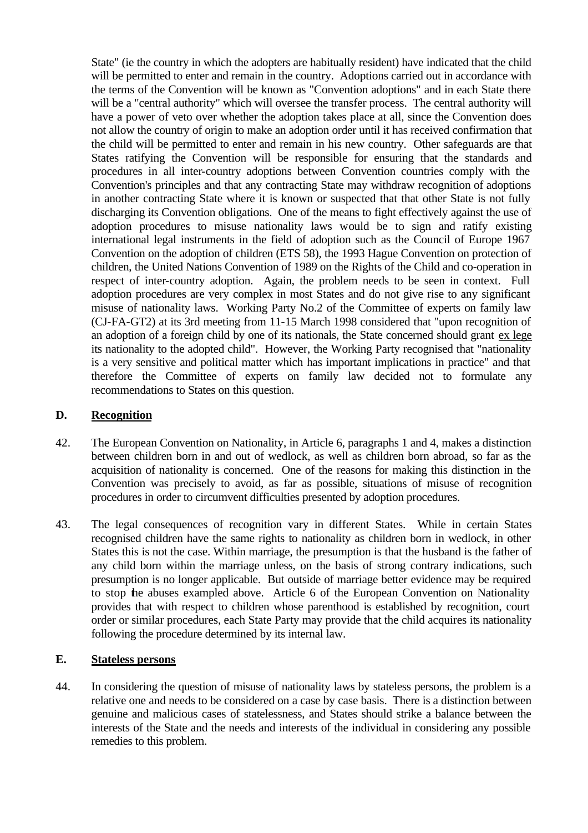State" (ie the country in which the adopters are habitually resident) have indicated that the child will be permitted to enter and remain in the country. Adoptions carried out in accordance with the terms of the Convention will be known as "Convention adoptions" and in each State there will be a "central authority" which will oversee the transfer process. The central authority will have a power of veto over whether the adoption takes place at all, since the Convention does not allow the country of origin to make an adoption order until it has received confirmation that the child will be permitted to enter and remain in his new country. Other safeguards are that States ratifying the Convention will be responsible for ensuring that the standards and procedures in all inter-country adoptions between Convention countries comply with the Convention's principles and that any contracting State may withdraw recognition of adoptions in another contracting State where it is known or suspected that that other State is not fully discharging its Convention obligations. One of the means to fight effectively against the use of adoption procedures to misuse nationality laws would be to sign and ratify existing international legal instruments in the field of adoption such as the Council of Europe 1967 Convention on the adoption of children (ETS 58), the 1993 Hague Convention on protection of children, the United Nations Convention of 1989 on the Rights of the Child and co-operation in respect of inter-country adoption. Again, the problem needs to be seen in context. Full adoption procedures are very complex in most States and do not give rise to any significant misuse of nationality laws. Working Party No.2 of the Committee of experts on family law (CJ-FA-GT2) at its 3rd meeting from 11-15 March 1998 considered that "upon recognition of an adoption of a foreign child by one of its nationals, the State concerned should grant ex lege its nationality to the adopted child". However, the Working Party recognised that "nationality is a very sensitive and political matter which has important implications in practice" and that therefore the Committee of experts on family law decided not to formulate any recommendations to States on this question.

## **D. Recognition**

- 42. The European Convention on Nationality, in Article 6, paragraphs 1 and 4, makes a distinction between children born in and out of wedlock, as well as children born abroad, so far as the acquisition of nationality is concerned. One of the reasons for making this distinction in the Convention was precisely to avoid, as far as possible, situations of misuse of recognition procedures in order to circumvent difficulties presented by adoption procedures.
- 43. The legal consequences of recognition vary in different States. While in certain States recognised children have the same rights to nationality as children born in wedlock, in other States this is not the case. Within marriage, the presumption is that the husband is the father of any child born within the marriage unless, on the basis of strong contrary indications, such presumption is no longer applicable. But outside of marriage better evidence may be required to stop the abuses exampled above. Article 6 of the European Convention on Nationality provides that with respect to children whose parenthood is established by recognition, court order or similar procedures, each State Party may provide that the child acquires its nationality following the procedure determined by its internal law.

#### **E. Stateless persons**

44. In considering the question of misuse of nationality laws by stateless persons, the problem is a relative one and needs to be considered on a case by case basis. There is a distinction between genuine and malicious cases of statelessness, and States should strike a balance between the interests of the State and the needs and interests of the individual in considering any possible remedies to this problem.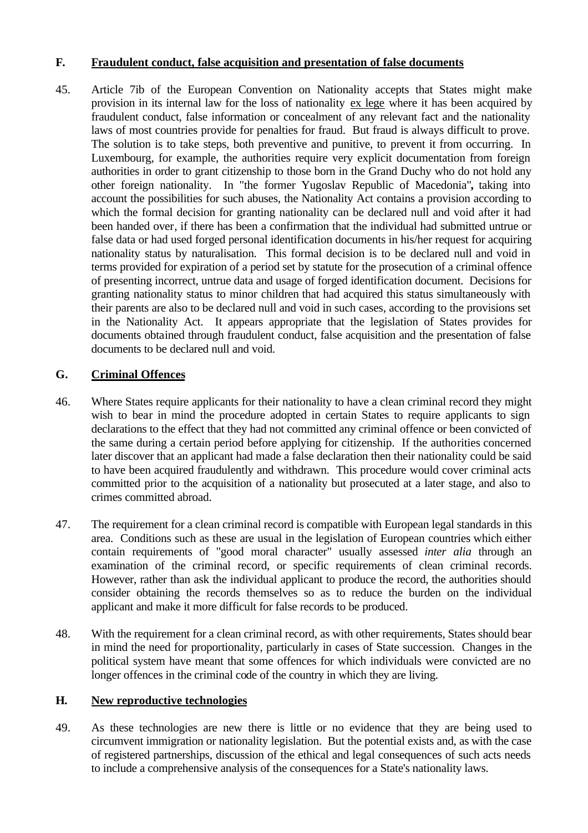## **F. Fraudulent conduct, false acquisition and presentation of false documents**

45. Article 7ib of the European Convention on Nationality accepts that States might make provision in its internal law for the loss of nationality ex lege where it has been acquired by fraudulent conduct, false information or concealment of any relevant fact and the nationality laws of most countries provide for penalties for fraud. But fraud is always difficult to prove. The solution is to take steps, both preventive and punitive, to prevent it from occurring. In Luxembourg, for example, the authorities require very explicit documentation from foreign authorities in order to grant citizenship to those born in the Grand Duchy who do not hold any other foreign nationality. In "the former Yugoslav Republic of Macedonia"**,** taking into account the possibilities for such abuses, the Nationality Act contains a provision according to which the formal decision for granting nationality can be declared null and void after it had been handed over, if there has been a confirmation that the individual had submitted untrue or false data or had used forged personal identification documents in his/her request for acquiring nationality status by naturalisation. This formal decision is to be declared null and void in terms provided for expiration of a period set by statute for the prosecution of a criminal offence of presenting incorrect, untrue data and usage of forged identification document. Decisions for granting nationality status to minor children that had acquired this status simultaneously with their parents are also to be declared null and void in such cases, according to the provisions set in the Nationality Act. It appears appropriate that the legislation of States provides for documents obtained through fraudulent conduct, false acquisition and the presentation of false documents to be declared null and void.

## **G. Criminal Offences**

- 46. Where States require applicants for their nationality to have a clean criminal record they might wish to bear in mind the procedure adopted in certain States to require applicants to sign declarations to the effect that they had not committed any criminal offence or been convicted of the same during a certain period before applying for citizenship. If the authorities concerned later discover that an applicant had made a false declaration then their nationality could be said to have been acquired fraudulently and withdrawn. This procedure would cover criminal acts committed prior to the acquisition of a nationality but prosecuted at a later stage, and also to crimes committed abroad.
- 47. The requirement for a clean criminal record is compatible with European legal standards in this area. Conditions such as these are usual in the legislation of European countries which either contain requirements of "good moral character" usually assessed *inter alia* through an examination of the criminal record, or specific requirements of clean criminal records. However, rather than ask the individual applicant to produce the record, the authorities should consider obtaining the records themselves so as to reduce the burden on the individual applicant and make it more difficult for false records to be produced.
- 48. With the requirement for a clean criminal record, as with other requirements, States should bear in mind the need for proportionality, particularly in cases of State succession. Changes in the political system have meant that some offences for which individuals were convicted are no longer offences in the criminal code of the country in which they are living.

## **H. New reproductive technologies**

49. As these technologies are new there is little or no evidence that they are being used to circumvent immigration or nationality legislation. But the potential exists and, as with the case of registered partnerships, discussion of the ethical and legal consequences of such acts needs to include a comprehensive analysis of the consequences for a State's nationality laws.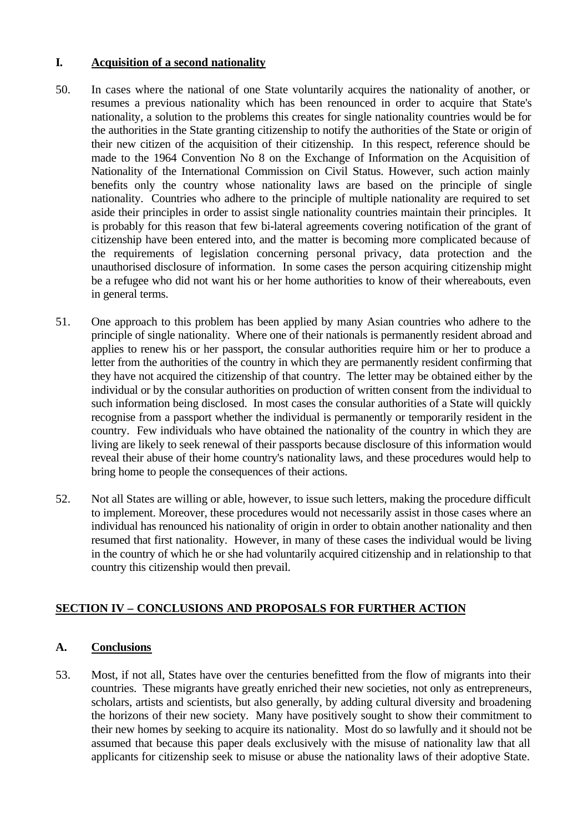#### **I. Acquisition of a second nationality**

- 50. In cases where the national of one State voluntarily acquires the nationality of another, or resumes a previous nationality which has been renounced in order to acquire that State's nationality, a solution to the problems this creates for single nationality countries would be for the authorities in the State granting citizenship to notify the authorities of the State or origin of their new citizen of the acquisition of their citizenship. In this respect, reference should be made to the 1964 Convention No 8 on the Exchange of Information on the Acquisition of Nationality of the International Commission on Civil Status. However, such action mainly benefits only the country whose nationality laws are based on the principle of single nationality. Countries who adhere to the principle of multiple nationality are required to set aside their principles in order to assist single nationality countries maintain their principles. It is probably for this reason that few bi-lateral agreements covering notification of the grant of citizenship have been entered into, and the matter is becoming more complicated because of the requirements of legislation concerning personal privacy, data protection and the unauthorised disclosure of information. In some cases the person acquiring citizenship might be a refugee who did not want his or her home authorities to know of their whereabouts, even in general terms.
- 51. One approach to this problem has been applied by many Asian countries who adhere to the principle of single nationality. Where one of their nationals is permanently resident abroad and applies to renew his or her passport, the consular authorities require him or her to produce a letter from the authorities of the country in which they are permanently resident confirming that they have not acquired the citizenship of that country. The letter may be obtained either by the individual or by the consular authorities on production of written consent from the individual to such information being disclosed. In most cases the consular authorities of a State will quickly recognise from a passport whether the individual is permanently or temporarily resident in the country. Few individuals who have obtained the nationality of the country in which they are living are likely to seek renewal of their passports because disclosure of this information would reveal their abuse of their home country's nationality laws, and these procedures would help to bring home to people the consequences of their actions.
- 52. Not all States are willing or able, however, to issue such letters, making the procedure difficult to implement. Moreover, these procedures would not necessarily assist in those cases where an individual has renounced his nationality of origin in order to obtain another nationality and then resumed that first nationality. However, in many of these cases the individual would be living in the country of which he or she had voluntarily acquired citizenship and in relationship to that country this citizenship would then prevail.

## **SECTION IV – CONCLUSIONS AND PROPOSALS FOR FURTHER ACTION**

## **A. Conclusions**

53. Most, if not all, States have over the centuries benefitted from the flow of migrants into their countries. These migrants have greatly enriched their new societies, not only as entrepreneurs, scholars, artists and scientists, but also generally, by adding cultural diversity and broadening the horizons of their new society. Many have positively sought to show their commitment to their new homes by seeking to acquire its nationality. Most do so lawfully and it should not be assumed that because this paper deals exclusively with the misuse of nationality law that all applicants for citizenship seek to misuse or abuse the nationality laws of their adoptive State.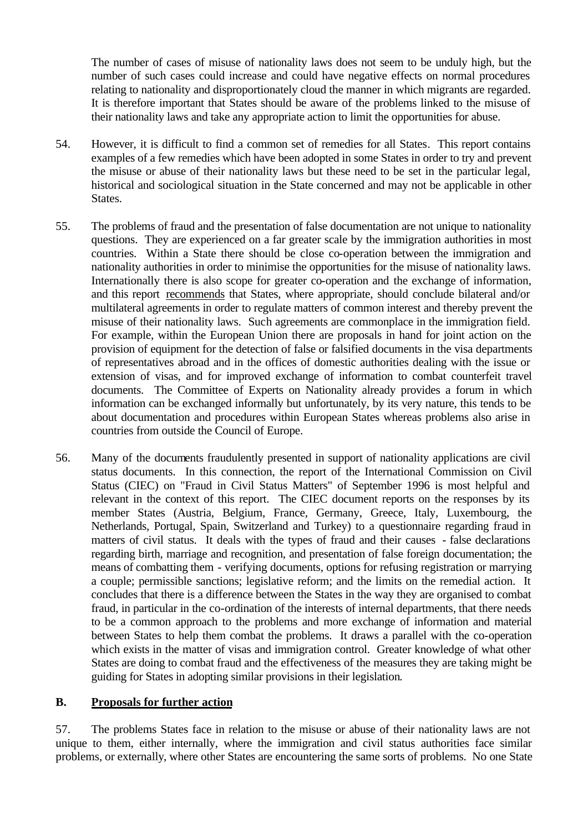The number of cases of misuse of nationality laws does not seem to be unduly high, but the number of such cases could increase and could have negative effects on normal procedures relating to nationality and disproportionately cloud the manner in which migrants are regarded. It is therefore important that States should be aware of the problems linked to the misuse of their nationality laws and take any appropriate action to limit the opportunities for abuse.

- 54. However, it is difficult to find a common set of remedies for all States. This report contains examples of a few remedies which have been adopted in some States in order to try and prevent the misuse or abuse of their nationality laws but these need to be set in the particular legal, historical and sociological situation in the State concerned and may not be applicable in other States.
- 55. The problems of fraud and the presentation of false documentation are not unique to nationality questions. They are experienced on a far greater scale by the immigration authorities in most countries. Within a State there should be close co-operation between the immigration and nationality authorities in order to minimise the opportunities for the misuse of nationality laws. Internationally there is also scope for greater co-operation and the exchange of information, and this report recommends that States, where appropriate, should conclude bilateral and/or multilateral agreements in order to regulate matters of common interest and thereby prevent the misuse of their nationality laws. Such agreements are commonplace in the immigration field. For example, within the European Union there are proposals in hand for joint action on the provision of equipment for the detection of false or falsified documents in the visa departments of representatives abroad and in the offices of domestic authorities dealing with the issue or extension of visas, and for improved exchange of information to combat counterfeit travel documents. The Committee of Experts on Nationality already provides a forum in which information can be exchanged informally but unfortunately, by its very nature, this tends to be about documentation and procedures within European States whereas problems also arise in countries from outside the Council of Europe.
- 56. Many of the documents fraudulently presented in support of nationality applications are civil status documents. In this connection, the report of the International Commission on Civil Status (CIEC) on "Fraud in Civil Status Matters" of September 1996 is most helpful and relevant in the context of this report. The CIEC document reports on the responses by its member States (Austria, Belgium, France, Germany, Greece, Italy, Luxembourg, the Netherlands, Portugal, Spain, Switzerland and Turkey) to a questionnaire regarding fraud in matters of civil status. It deals with the types of fraud and their causes - false declarations regarding birth, marriage and recognition, and presentation of false foreign documentation; the means of combatting them - verifying documents, options for refusing registration or marrying a couple; permissible sanctions; legislative reform; and the limits on the remedial action. It concludes that there is a difference between the States in the way they are organised to combat fraud, in particular in the co-ordination of the interests of internal departments, that there needs to be a common approach to the problems and more exchange of information and material between States to help them combat the problems. It draws a parallel with the co-operation which exists in the matter of visas and immigration control. Greater knowledge of what other States are doing to combat fraud and the effectiveness of the measures they are taking might be guiding for States in adopting similar provisions in their legislation.

#### **B. Proposals for further action**

57. The problems States face in relation to the misuse or abuse of their nationality laws are not unique to them, either internally, where the immigration and civil status authorities face similar problems, or externally, where other States are encountering the same sorts of problems. No one State